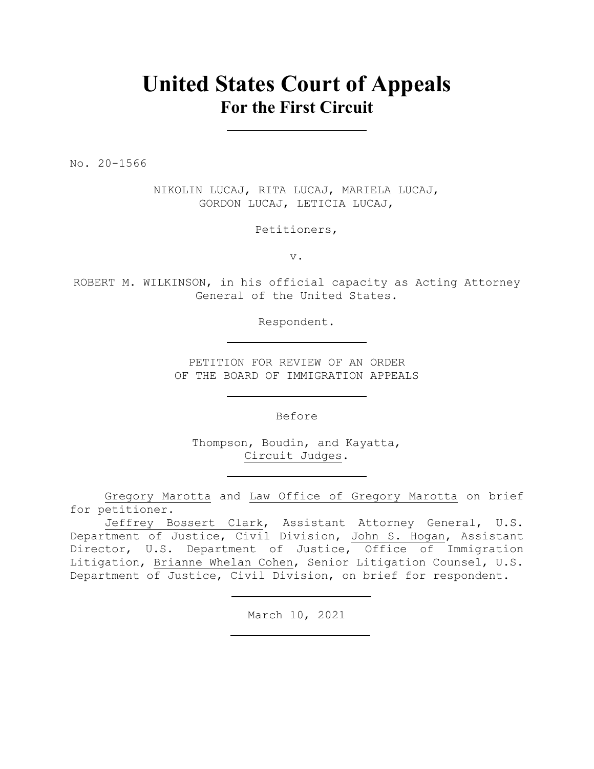## **United States Court of Appeals For the First Circuit**

No. 20-1566

NIKOLIN LUCAJ, RITA LUCAJ, MARIELA LUCAJ, GORDON LUCAJ, LETICIA LUCAJ,

Petitioners,

v.

ROBERT M. WILKINSON, in his official capacity as Acting Attorney General of the United States.

Respondent.

PETITION FOR REVIEW OF AN ORDER OF THE BOARD OF IMMIGRATION APPEALS

Before

Thompson, Boudin, and Kayatta, Circuit Judges.

Gregory Marotta and Law Office of Gregory Marotta on brief for petitioner.

Jeffrey Bossert Clark, Assistant Attorney General, U.S. Department of Justice, Civil Division, John S. Hogan, Assistant Director, U.S. Department of Justice, Office of Immigration Litigation, Brianne Whelan Cohen, Senior Litigation Counsel, U.S. Department of Justice, Civil Division, on brief for respondent.

March 10, 2021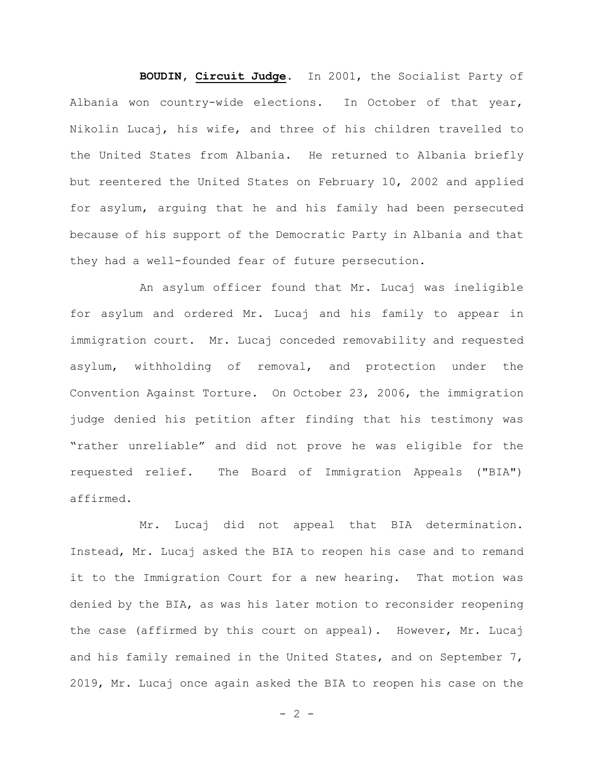**BOUDIN, Circuit Judge**. In 2001, the Socialist Party of Albania won country-wide elections. In October of that year, Nikolin Lucaj, his wife, and three of his children travelled to the United States from Albania. He returned to Albania briefly but reentered the United States on February 10, 2002 and applied for asylum, arguing that he and his family had been persecuted because of his support of the Democratic Party in Albania and that they had a well-founded fear of future persecution.

An asylum officer found that Mr. Lucaj was ineligible for asylum and ordered Mr. Lucaj and his family to appear in immigration court. Mr. Lucaj conceded removability and requested asylum, withholding of removal, and protection under the Convention Against Torture. On October 23, 2006, the immigration judge denied his petition after finding that his testimony was "rather unreliable" and did not prove he was eligible for the requested relief. The Board of Immigration Appeals ("BIA") affirmed.

Mr. Lucaj did not appeal that BIA determination. Instead, Mr. Lucaj asked the BIA to reopen his case and to remand it to the Immigration Court for a new hearing. That motion was denied by the BIA, as was his later motion to reconsider reopening the case (affirmed by this court on appeal). However, Mr. Lucaj and his family remained in the United States, and on September 7, 2019, Mr. Lucaj once again asked the BIA to reopen his case on the

 $- 2 -$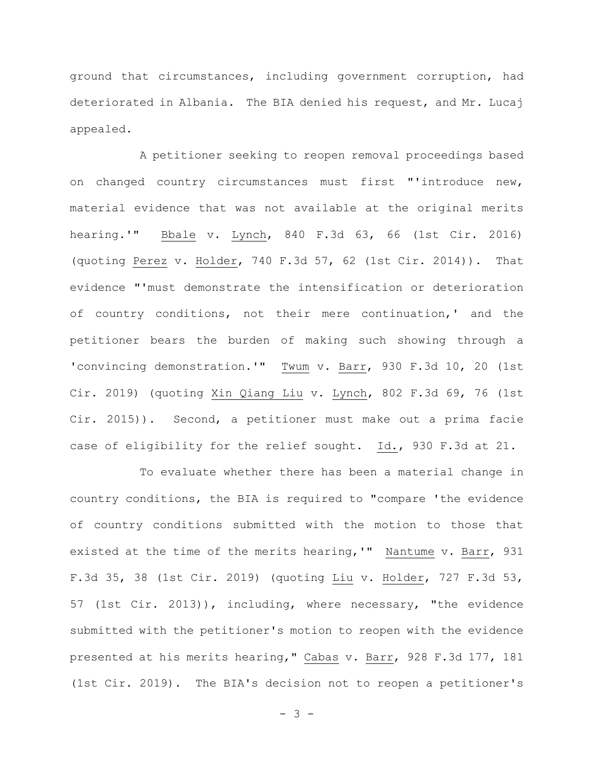ground that circumstances, including government corruption, had deteriorated in Albania. The BIA denied his request, and Mr. Lucaj appealed.

A petitioner seeking to reopen removal proceedings based on changed country circumstances must first "'introduce new, material evidence that was not available at the original merits hearing.'" Bbale v. Lynch, 840 F.3d 63, 66 (1st Cir. 2016) (quoting Perez v. Holder, 740 F.3d 57, 62 (1st Cir. 2014)). That evidence "'must demonstrate the intensification or deterioration of country conditions, not their mere continuation,' and the petitioner bears the burden of making such showing through a 'convincing demonstration.'" Twum v. Barr, 930 F.3d 10, 20 (1st Cir. 2019) (quoting Xin Qiang Liu v. Lynch, 802 F.3d 69, 76 (1st Cir. 2015)). Second, a petitioner must make out a prima facie case of eligibility for the relief sought. Id., 930 F.3d at 21.

To evaluate whether there has been a material change in country conditions, the BIA is required to "compare 'the evidence of country conditions submitted with the motion to those that existed at the time of the merits hearing,'" Nantume v. Barr, 931 F.3d 35, 38 (1st Cir. 2019) (quoting Liu v. Holder, 727 F.3d 53, 57 (1st Cir. 2013)), including, where necessary, "the evidence submitted with the petitioner's motion to reopen with the evidence presented at his merits hearing," Cabas v. Barr, 928 F.3d 177, 181 (1st Cir. 2019). The BIA's decision not to reopen a petitioner's

- 3 -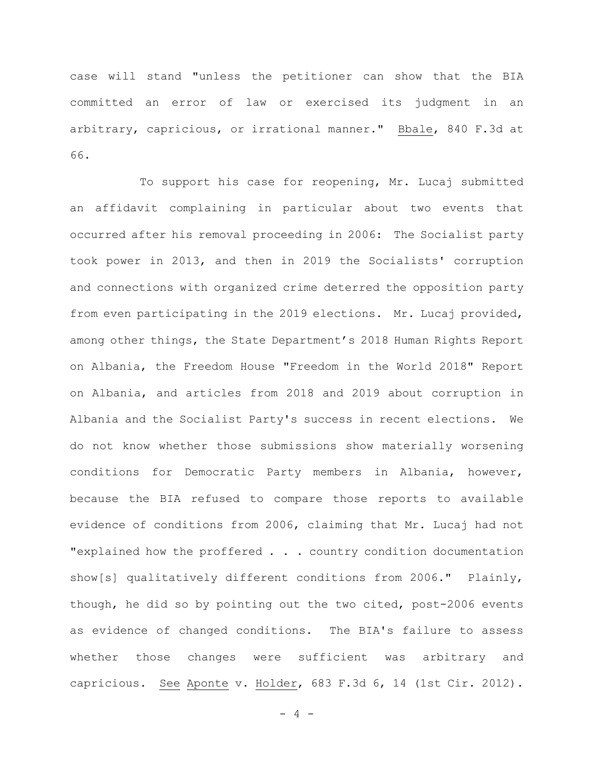case will stand "unless the petitioner can show that the BIA committed an error of law or exercised its judgment in an arbitrary, capricious, or irrational manner." Bbale, 840 F.3d at 66.

To support his case for reopening, Mr. Lucaj submitted an affidavit complaining in particular about two events that occurred after his removal proceeding in 2006: The Socialist party took power in 2013, and then in 2019 the Socialists' corruption and connections with organized crime deterred the opposition party from even participating in the 2019 elections. Mr. Lucaj provided, among other things, the State Department's 2018 Human Rights Report on Albania, the Freedom House "Freedom in the World 2018" Report on Albania, and articles from 2018 and 2019 about corruption in Albania and the Socialist Party's success in recent elections. We do not know whether those submissions show materially worsening conditions for Democratic Party members in Albania, however, because the BIA refused to compare those reports to available evidence of conditions from 2006, claiming that Mr. Lucaj had not "explained how the proffered . . . country condition documentation show[s] qualitatively different conditions from 2006." Plainly, though, he did so by pointing out the two cited, post-2006 events as evidence of changed conditions. The BIA's failure to assess whether those changes were sufficient was arbitrary and capricious. See Aponte v. Holder, 683 F.3d 6, 14 (1st Cir. 2012).

 $- 4 -$